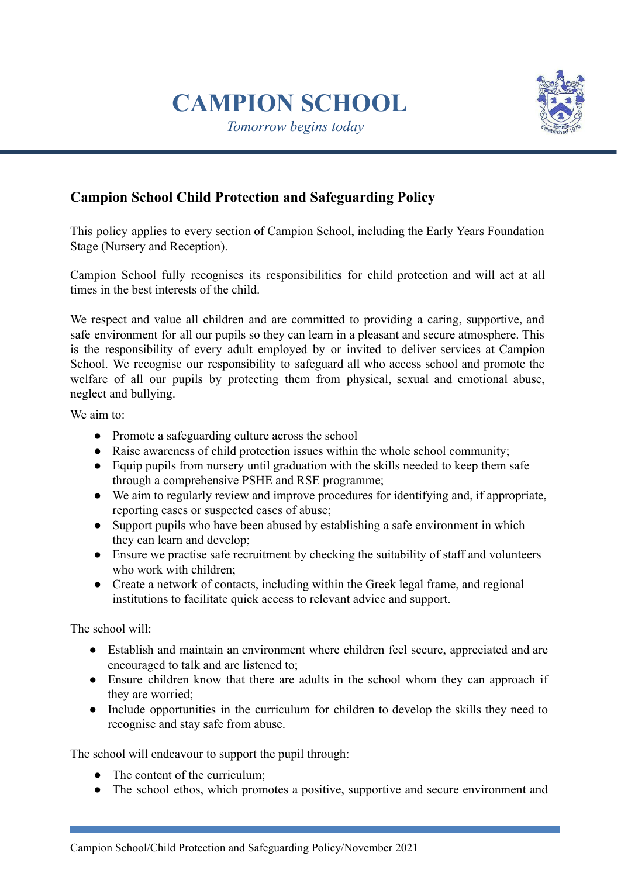# **CAMPION SCHOOL**

*Tomorrow begins today*



# **Campion School Child Protection and Safeguarding Policy**

This policy applies to every section of Campion School, including the Early Years Foundation Stage (Nursery and Reception).

Campion School fully recognises its responsibilities for child protection and will act at all times in the best interests of the child.

We respect and value all children and are committed to providing a caring, supportive, and safe environment for all our pupils so they can learn in a pleasant and secure atmosphere. This is the responsibility of every adult employed by or invited to deliver services at Campion School. We recognise our responsibility to safeguard all who access school and promote the welfare of all our pupils by protecting them from physical, sexual and emotional abuse, neglect and bullying.

We aim to:

- Promote a safeguarding culture across the school
- Raise awareness of child protection issues within the whole school community;
- Equip pupils from nursery until graduation with the skills needed to keep them safe through a comprehensive PSHE and RSE programme;
- We aim to regularly review and improve procedures for identifying and, if appropriate, reporting cases or suspected cases of abuse;
- Support pupils who have been abused by establishing a safe environment in which they can learn and develop;
- Ensure we practise safe recruitment by checking the suitability of staff and volunteers who work with children;
- Create a network of contacts, including within the Greek legal frame, and regional institutions to facilitate quick access to relevant advice and support.

The school will:

- Establish and maintain an environment where children feel secure, appreciated and are encouraged to talk and are listened to;
- Ensure children know that there are adults in the school whom they can approach if they are worried;
- Include opportunities in the curriculum for children to develop the skills they need to recognise and stay safe from abuse.

The school will endeavour to support the pupil through:

- The content of the curriculum;
- **●** The school ethos, which promotes a positive, supportive and secure environment and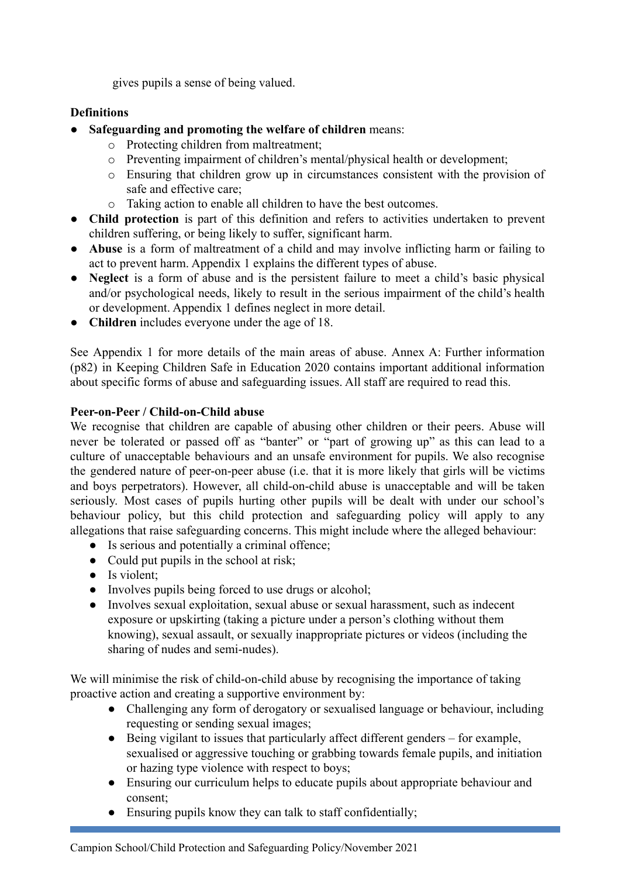gives pupils a sense of being valued.

#### **Definitions**

- **Safeguarding and promoting the welfare of children** means:
	- o Protecting children from maltreatment;
	- o Preventing impairment of children's mental/physical health or development;
	- o Ensuring that children grow up in circumstances consistent with the provision of safe and effective care;
	- o Taking action to enable all children to have the best outcomes.
- **Child protection** is part of this definition and refers to activities undertaken to prevent children suffering, or being likely to suffer, significant harm.
- **Abuse** is a form of maltreatment of a child and may involve inflicting harm or failing to act to prevent harm. Appendix 1 explains the different types of abuse.
- **Neglect** is a form of abuse and is the persistent failure to meet a child's basic physical and/or psychological needs, likely to result in the serious impairment of the child's health or development. Appendix 1 defines neglect in more detail.
- **Children** includes everyone under the age of 18.

See Appendix 1 for more details of the main areas of abuse. Annex A: Further information (p82) in Keeping Children Safe in Education 2020 contains important additional information about specific forms of abuse and safeguarding issues. All staff are required to read this.

## **Peer-on-Peer / Child-on-Child abuse**

We recognise that children are capable of abusing other children or their peers. Abuse will never be tolerated or passed off as "banter" or "part of growing up" as this can lead to a culture of unacceptable behaviours and an unsafe environment for pupils. We also recognise the gendered nature of peer-on-peer abuse (i.e. that it is more likely that girls will be victims and boys perpetrators). However, all child-on-child abuse is unacceptable and will be taken seriously. Most cases of pupils hurting other pupils will be dealt with under our school's behaviour policy, but this child protection and safeguarding policy will apply to any allegations that raise safeguarding concerns. This might include where the alleged behaviour:

- Is serious and potentially a criminal offence;
- Could put pupils in the school at risk;
- Is violent;
- Involves pupils being forced to use drugs or alcohol;
- Involves sexual exploitation, sexual abuse or sexual harassment, such as indecent exposure or upskirting (taking a picture under a person's clothing without them knowing), sexual assault, or sexually inappropriate pictures or videos (including the sharing of nudes and semi-nudes).

We will minimise the risk of child-on-child abuse by recognising the importance of taking proactive action and creating a supportive environment by:

- Challenging any form of derogatory or sexualised language or behaviour, including requesting or sending sexual images;
- Being vigilant to issues that particularly affect different genders for example, sexualised or aggressive touching or grabbing towards female pupils, and initiation or hazing type violence with respect to boys;
- Ensuring our curriculum helps to educate pupils about appropriate behaviour and consent;
- Ensuring pupils know they can talk to staff confidentially;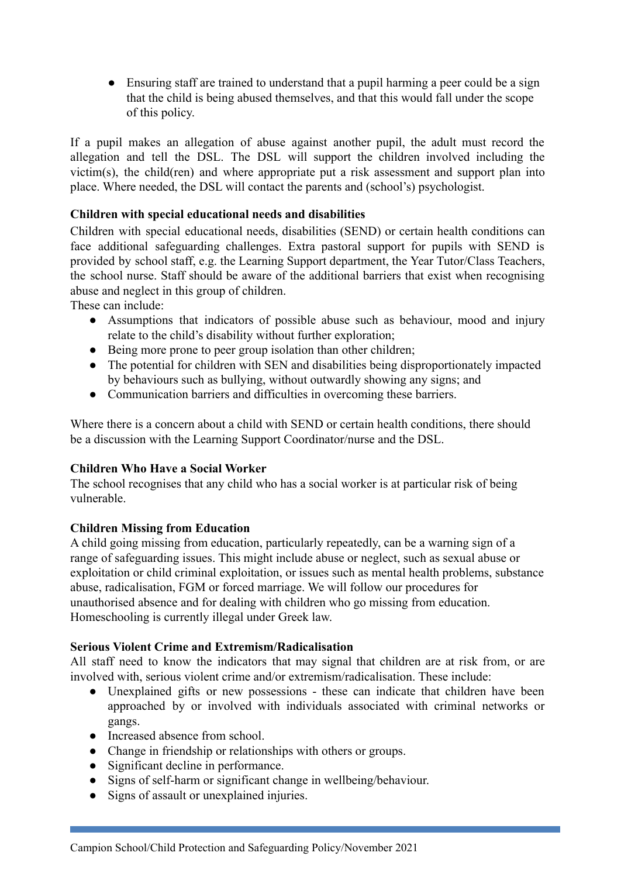• Ensuring staff are trained to understand that a pupil harming a peer could be a sign that the child is being abused themselves, and that this would fall under the scope of this policy.

If a pupil makes an allegation of abuse against another pupil, the adult must record the allegation and tell the DSL. The DSL will support the children involved including the victim(s), the child(ren) and where appropriate put a risk assessment and support plan into place. Where needed, the DSL will contact the parents and (school's) psychologist.

#### **Children with special educational needs and disabilities**

Children with special educational needs, disabilities (SEND) or certain health conditions can face additional safeguarding challenges. Extra pastoral support for pupils with SEND is provided by school staff, e.g. the Learning Support department, the Year Tutor/Class Teachers, the school nurse. Staff should be aware of the additional barriers that exist when recognising abuse and neglect in this group of children.

These can include:

- Assumptions that indicators of possible abuse such as behaviour, mood and injury relate to the child's disability without further exploration;
- Being more prone to peer group isolation than other children;
- The potential for children with SEN and disabilities being disproportionately impacted by behaviours such as bullying, without outwardly showing any signs; and
- Communication barriers and difficulties in overcoming these barriers.

Where there is a concern about a child with SEND or certain health conditions, there should be a discussion with the Learning Support Coordinator/nurse and the DSL.

#### **Children Who Have a Social Worker**

The school recognises that any child who has a social worker is at particular risk of being vulnerable.

#### **Children Missing from Education**

A child going missing from education, particularly repeatedly, can be a warning sign of a range of safeguarding issues. This might include abuse or neglect, such as sexual abuse or exploitation or child criminal exploitation, or issues such as mental health problems, substance abuse, radicalisation, FGM or forced marriage. We will follow our procedures for unauthorised absence and for dealing with children who go missing from education. Homeschooling is currently illegal under Greek law.

#### **Serious Violent Crime and Extremism/Radicalisation**

All staff need to know the indicators that may signal that children are at risk from, or are involved with, serious violent crime and/or extremism/radicalisation. These include:

- Unexplained gifts or new possessions these can indicate that children have been approached by or involved with individuals associated with criminal networks or gangs.
- Increased absence from school.
- Change in friendship or relationships with others or groups.
- Significant decline in performance.
- Signs of self-harm or significant change in wellbeing/behaviour.
- Signs of assault or unexplained injuries.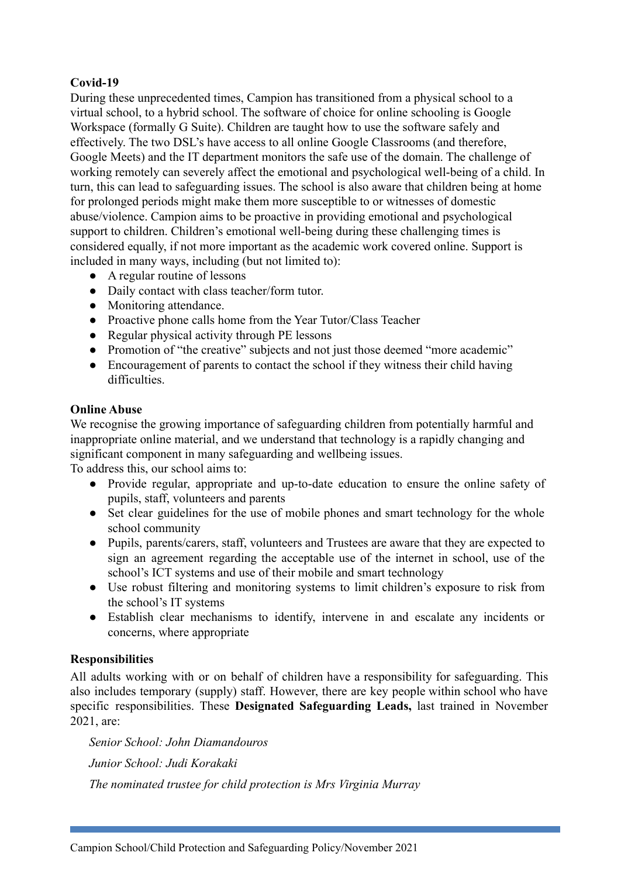## **Covid-19**

During these unprecedented times, Campion has transitioned from a physical school to a virtual school, to a hybrid school. The software of choice for online schooling is Google Workspace (formally G Suite). Children are taught how to use the software safely and effectively. The two DSL's have access to all online Google Classrooms (and therefore, Google Meets) and the IT department monitors the safe use of the domain. The challenge of working remotely can severely affect the emotional and psychological well-being of a child. In turn, this can lead to safeguarding issues. The school is also aware that children being at home for prolonged periods might make them more susceptible to or witnesses of domestic abuse/violence. Campion aims to be proactive in providing emotional and psychological support to children. Children's emotional well-being during these challenging times is considered equally, if not more important as the academic work covered online. Support is included in many ways, including (but not limited to):

- A regular routine of lessons
- Daily contact with class teacher/form tutor.
- Monitoring attendance.
- Proactive phone calls home from the Year Tutor/Class Teacher
- Regular physical activity through PE lessons
- Promotion of "the creative" subjects and not just those deemed "more academic"
- Encouragement of parents to contact the school if they witness their child having difficulties.

#### **Online Abuse**

We recognise the growing importance of safeguarding children from potentially harmful and inappropriate online material, and we understand that technology is a rapidly changing and significant component in many safeguarding and wellbeing issues.

To address this, our school aims to:

- Provide regular, appropriate and up-to-date education to ensure the online safety of pupils, staff, volunteers and parents
- Set clear guidelines for the use of mobile phones and smart technology for the whole school community
- Pupils, parents/carers, staff, volunteers and Trustees are aware that they are expected to sign an agreement regarding the acceptable use of the internet in school, use of the school's ICT systems and use of their mobile and smart technology
- Use robust filtering and monitoring systems to limit children's exposure to risk from the school's IT systems
- Establish clear mechanisms to identify, intervene in and escalate any incidents or concerns, where appropriate

#### **Responsibilities**

All adults working with or on behalf of children have a responsibility for safeguarding. This also includes temporary (supply) staff. However, there are key people within school who have specific responsibilities. These **Designated Safeguarding Leads,** last trained in November 2021, are:

*Senior School: John Diamandouros Junior School: Judi Korakaki The nominated trustee for child protection is Mrs Virginia Murray*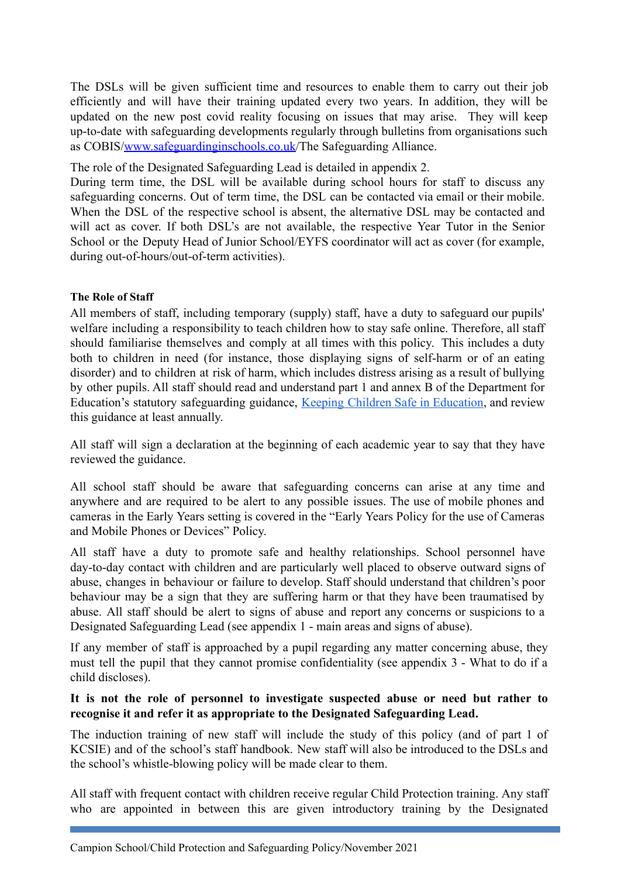The DSLs will be given sufficient time and resources to enable them to carry out their job efficiently and will have their training updated every two years. In addition, they will be updated on the new post covid reality focusing on issues that may arise. They will keep up-to-date with safeguarding developments regularly through bulletins from organisations such as COBIS[/www.safeguardinginschools.co.uk](http://www.safeguardinginschools.co.uk)/The Safeguarding Alliance.

The role of the Designated Safeguarding Lead is detailed in appendix 2.

During term time, the DSL will be available during school hours for staff to discuss any safeguarding concerns. Out of term time, the DSL can be contacted via email or their mobile. When the DSL of the respective school is absent, the alternative DSL may be contacted and will act as cover. If both DSL's are not available, the respective Year Tutor in the Senior School or the Deputy Head of Junior School/EYFS coordinator will act as cover (for example, during out-of-hours/out-of-term activities).

#### **The Role of Staff**

All members of staff, including temporary (supply) staff, have a duty to safeguard our pupils' welfare including a responsibility to teach children how to stay safe online. Therefore, all staff should familiarise themselves and comply at all times with this policy. This includes a duty both to children in need (for instance, those displaying signs of self-harm or of an eating disorder) and to children at risk of harm, which includes distress arising as a result of bullying by other pupils. All staff should read and understand part 1 and annex B of the Department for Education's statutory safeguarding guidance, Keeping Children Safe in [Education](https://www.gov.uk/government/publications/keeping-children-safe-in-education--2), and review this guidance at least annually.

All staff will sign a declaration at the beginning of each academic year to say that they have reviewed the guidance.

All school staff should be aware that safeguarding concerns can arise at any time and anywhere and are required to be alert to any possible issues. The use of mobile phones and cameras in the Early Years setting is covered in the "Early Years Policy for the use of Cameras and Mobile Phones or Devices" Policy.

All staff have a duty to promote safe and healthy relationships. School personnel have day-to-day contact with children and are particularly well placed to observe outward signs of abuse, changes in behaviour or failure to develop. Staff should understand that children's poor behaviour may be a sign that they are suffering harm or that they have been traumatised by abuse. All staff should be alert to signs of abuse and report any concerns or suspicions to a Designated Safeguarding Lead (see appendix 1 - main areas and signs of abuse).

If any member of staff is approached by a pupil regarding any matter concerning abuse, they must tell the pupil that they cannot promise confidentiality (see appendix 3 - What to do if a child discloses).

#### **It is not the role of personnel to investigate suspected abuse or need but rather to recognise it and refer it as appropriate to the Designated Safeguarding Lead.**

The induction training of new staff will include the study of this policy (and of part 1 of KCSIE) and of the school's staff handbook. New staff will also be introduced to the DSLs and the school's whistle-blowing policy will be made clear to them.

All staff with frequent contact with children receive regular Child Protection training. Any staff who are appointed in between this are given introductory training by the Designated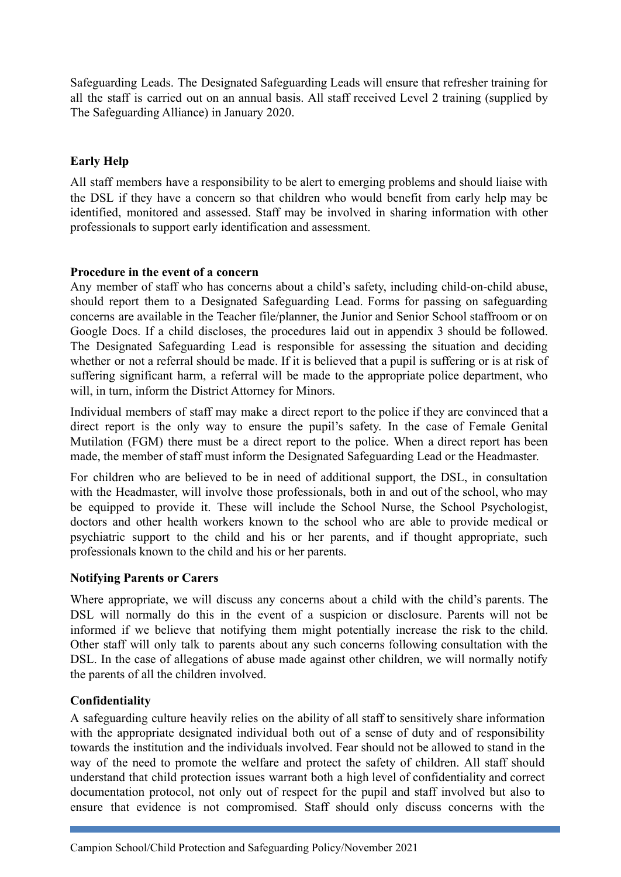Safeguarding Leads. The Designated Safeguarding Leads will ensure that refresher training for all the staff is carried out on an annual basis. All staff received Level 2 training (supplied by The Safeguarding Alliance) in January 2020.

#### **Early Help**

All staff members have a responsibility to be alert to emerging problems and should liaise with the DSL if they have a concern so that children who would benefit from early help may be identified, monitored and assessed. Staff may be involved in sharing information with other professionals to support early identification and assessment.

#### **Procedure in the event of a concern**

Any member of staff who has concerns about a child's safety, including child-on-child abuse, should report them to a Designated Safeguarding Lead. Forms for passing on safeguarding concerns are available in the Teacher file/planner, the Junior and Senior School staffroom or on Google Docs. If a child discloses, the procedures laid out in appendix 3 should be followed. The Designated Safeguarding Lead is responsible for assessing the situation and deciding whether or not a referral should be made. If it is believed that a pupil is suffering or is at risk of suffering significant harm, a referral will be made to the appropriate police department, who will, in turn, inform the District Attorney for Minors.

Individual members of staff may make a direct report to the police if they are convinced that a direct report is the only way to ensure the pupil's safety. In the case of Female Genital Mutilation (FGM) there must be a direct report to the police. When a direct report has been made, the member of staff must inform the Designated Safeguarding Lead or the Headmaster.

For children who are believed to be in need of additional support, the DSL, in consultation with the Headmaster, will involve those professionals, both in and out of the school, who may be equipped to provide it. These will include the School Nurse, the School Psychologist, doctors and other health workers known to the school who are able to provide medical or psychiatric support to the child and his or her parents, and if thought appropriate, such professionals known to the child and his or her parents.

#### **Notifying Parents or Carers**

Where appropriate, we will discuss any concerns about a child with the child's parents. The DSL will normally do this in the event of a suspicion or disclosure. Parents will not be informed if we believe that notifying them might potentially increase the risk to the child. Other staff will only talk to parents about any such concerns following consultation with the DSL. In the case of allegations of abuse made against other children, we will normally notify the parents of all the children involved.

#### **Confidentiality**

A safeguarding culture heavily relies on the ability of all staff to sensitively share information with the appropriate designated individual both out of a sense of duty and of responsibility towards the institution and the individuals involved. Fear should not be allowed to stand in the way of the need to promote the welfare and protect the safety of children. All staff should understand that child protection issues warrant both a high level of confidentiality and correct documentation protocol, not only out of respect for the pupil and staff involved but also to ensure that evidence is not compromised. Staff should only discuss concerns with the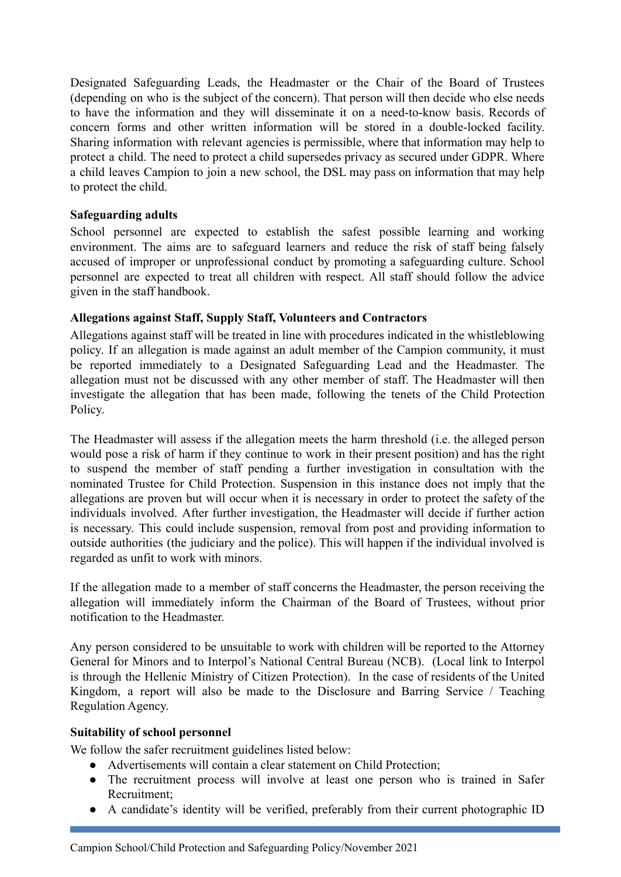Designated Safeguarding Leads, the Headmaster or the Chair of the Board of Trustees (depending on who is the subject of the concern). That person will then decide who else needs to have the information and they will disseminate it on a need-to-know basis. Records of concern forms and other written information will be stored in a double-locked facility. Sharing information with relevant agencies is permissible, where that information may help to protect a child. The need to protect a child supersedes privacy as secured under GDPR. Where a child leaves Campion to join a new school, the DSL may pass on information that may help to protect the child.

#### **Safeguarding adults**

School personnel are expected to establish the safest possible learning and working environment. The aims are to safeguard learners and reduce the risk of staff being falsely accused of improper or unprofessional conduct by promoting a safeguarding culture. School personnel are expected to treat all children with respect. All staff should follow the advice given in the staff handbook.

#### **Allegations against Staff, Supply Staff, Volunteers and Contractors**

Allegations against staff will be treated in line with procedures indicated in the whistleblowing policy. If an allegation is made against an adult member of the Campion community, it must be reported immediately to a Designated Safeguarding Lead and the Headmaster. The allegation must not be discussed with any other member of staff. The Headmaster will then investigate the allegation that has been made, following the tenets of the Child Protection Policy.

The Headmaster will assess if the allegation meets the harm threshold (i.e. the alleged person would pose a risk of harm if they continue to work in their present position) and has the right to suspend the member of staff pending a further investigation in consultation with the nominated Trustee for Child Protection. Suspension in this instance does not imply that the allegations are proven but will occur when it is necessary in order to protect the safety of the individuals involved. After further investigation, the Headmaster will decide if further action is necessary. This could include suspension, removal from post and providing information to outside authorities (the judiciary and the police). This will happen if the individual involved is regarded as unfit to work with minors.

If the allegation made to a member of staff concerns the Headmaster, the person receiving the allegation will immediately inform the Chairman of the Board of Trustees, without prior notification to the Headmaster.

Any person considered to be unsuitable to work with children will be reported to the Attorney General for Minors and to Interpol's National Central Bureau (NCB). (Local link to Interpol is through the Hellenic Ministry of Citizen Protection). In the case of residents of the United Kingdom, a report will also be made to the Disclosure and Barring Service / Teaching Regulation Agency.

#### **Suitability of school personnel**

We follow the safer recruitment guidelines listed below:

- Advertisements will contain a clear statement on Child Protection;
- The recruitment process will involve at least one person who is trained in Safer Recruitment;
- A candidate's identity will be verified, preferably from their current photographic ID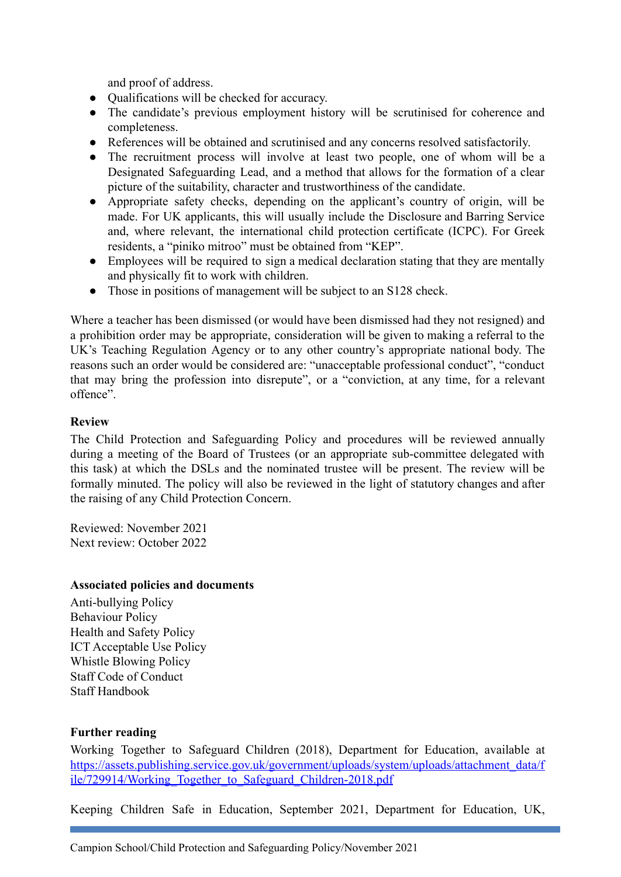and proof of address.

- Qualifications will be checked for accuracy.
- The candidate's previous employment history will be scrutinised for coherence and completeness.
- References will be obtained and scrutinised and any concerns resolved satisfactorily.
- The recruitment process will involve at least two people, one of whom will be a Designated Safeguarding Lead, and a method that allows for the formation of a clear picture of the suitability, character and trustworthiness of the candidate.
- Appropriate safety checks, depending on the applicant's country of origin, will be made. For UK applicants, this will usually include the Disclosure and Barring Service and, where relevant, the international child protection certificate (ICPC). For Greek residents, a "piniko mitroo" must be obtained from "KEP".
- Employees will be required to sign a medical declaration stating that they are mentally and physically fit to work with children.
- Those in positions of management will be subject to an S128 check.

Where a teacher has been dismissed (or would have been dismissed had they not resigned) and a prohibition order may be appropriate, consideration will be given to making a referral to the UK's Teaching Regulation Agency or to any other country's appropriate national body. The reasons such an order would be considered are: "unacceptable professional conduct", "conduct that may bring the profession into disrepute", or a "conviction, at any time, for a relevant offence".

#### **Review**

The Child Protection and Safeguarding Policy and procedures will be reviewed annually during a meeting of the Board of Trustees (or an appropriate sub-committee delegated with this task) at which the DSLs and the nominated trustee will be present. The review will be formally minuted. The policy will also be reviewed in the light of statutory changes and after the raising of any Child Protection Concern.

Reviewed: November 2021 Next review: October 2022

#### **Associated policies and documents**

Anti-bullying Policy Behaviour Policy Health and Safety Policy ICT Acceptable Use Policy Whistle Blowing Policy Staff Code of Conduct Staff Handbook

#### **Further reading**

Working Together to Safeguard Children (2018), Department for Education, available at [https://assets.publishing.service.gov.uk/government/uploads/system/uploads/attachment\\_data/f](https://assets.publishing.service.gov.uk/government/uploads/system/uploads/attachment_data/file/729914/Working_Together_to_Safeguard_Children-2018.pdf) [ile/729914/Working\\_Together\\_to\\_Safeguard\\_Children-2018.pdf](https://assets.publishing.service.gov.uk/government/uploads/system/uploads/attachment_data/file/729914/Working_Together_to_Safeguard_Children-2018.pdf)

Keeping Children Safe in Education, September 2021, Department for Education, UK,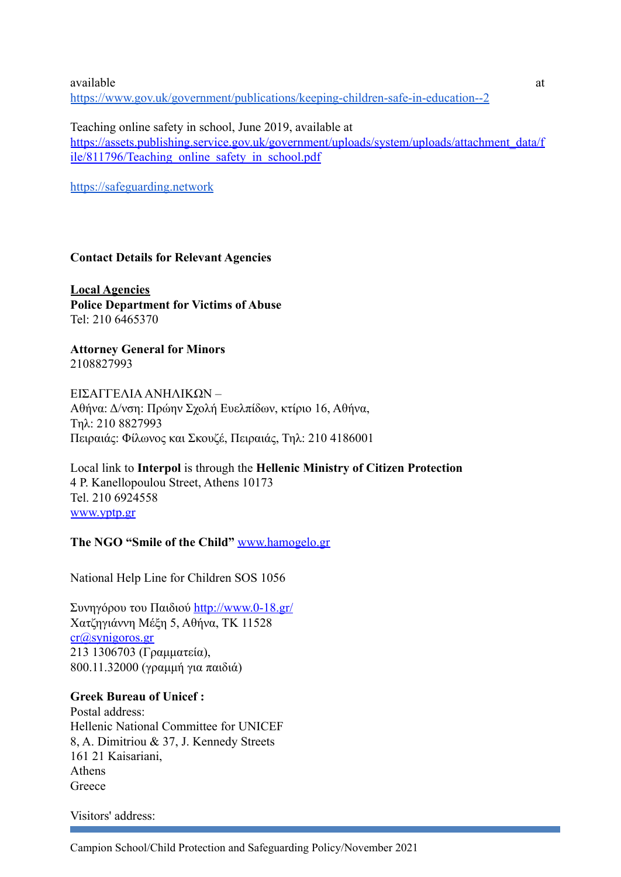available at a structure of  $\alpha$  at a structure of  $\alpha$  at a structure of  $\alpha$  at a structure of  $\alpha$ [https://www.gov.uk/government/publications/keeping-children-safe-in-education--2](https://assets.publishing.service.gov.uk/government/uploads/system/uploads/attachment_data/file/1021914/KCSIE_2021_September_guidance.pdf)

Teaching online safety in school, June 2019, available at [https://assets.publishing.service.gov.uk/government/uploads/system/uploads/attachment\\_data/f](https://assets.publishing.service.gov.uk/government/uploads/system/uploads/attachment_data/file/811796/Teaching_online_safety_in_school.pdf) [ile/811796/Teaching\\_online\\_safety\\_in\\_school.pdf](https://assets.publishing.service.gov.uk/government/uploads/system/uploads/attachment_data/file/811796/Teaching_online_safety_in_school.pdf)

[https://safeguarding.network](https://safeguarding.network/content/safeguarding-resources/)

#### **Contact Details for Relevant Agencies**

**Local Agencies Police Department for Victims of Abuse** Tel: 210 6465370

**Attorney General for Minors** 2108827993

EΙΣΑΓΓΕΛΙΑΑΝΗΛΙΚΩΝ – Αθήνα: Δ/νση: Πρώην Σχολή Ευελπίδων, κτίριο 16, Αθήνα, Τηλ: 210 8827993 Πειραιάς: Φίλωνος και Σκουζέ, Πειραιάς, Τηλ: 210 4186001

Local link to **Interpol** is through the **Hellenic Ministry of Citizen Protection** 4 P. Kanellopoulou Street, Athens 10173 Tel. 210 6924558 [www.yptp.gr](http://www.yptp.gr)

#### **The NGO "Smile of the Child"** [www.hamogelo.gr](http://www.hamogelo.gr)

National Help Line for Children SOS 1056

Συνηγόρου του Παιδιού <http://www.0-18.gr/> Χατζηγιάννη Μέξη 5, Αθήνα, ΤΚ 11528 [cr@synigoros.gr](mailto:cr@synigoros.gr) 213 1306703 (Γραμματεία), 800.11.32000 (γραμμή για παιδιά)

## **Greek Bureau of Unicef :**

Postal address: Hellenic National Committee for UNICEF 8, A. Dimitriou & 37, J. Kennedy Streets 161 21 Kaisariani, Athens Greece

Visitors' address: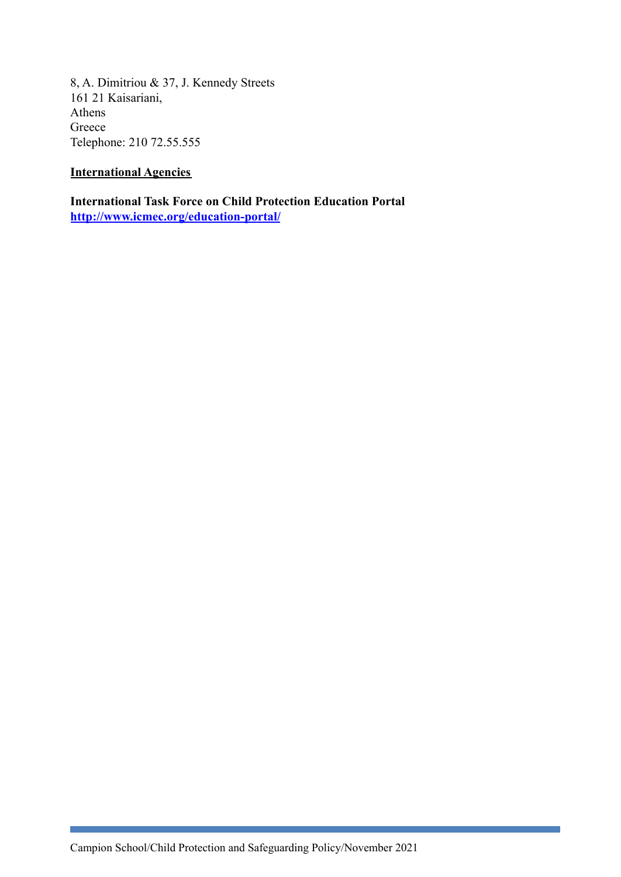8, A. Dimitriou & 37, J. Kennedy Streets 161 21 Kaisariani, Athens Greece Telephone: 210 72.55.555

## **International Agencies**

**International Task Force on Child Protection Education Portal <http://www.icmec.org/education-portal/>**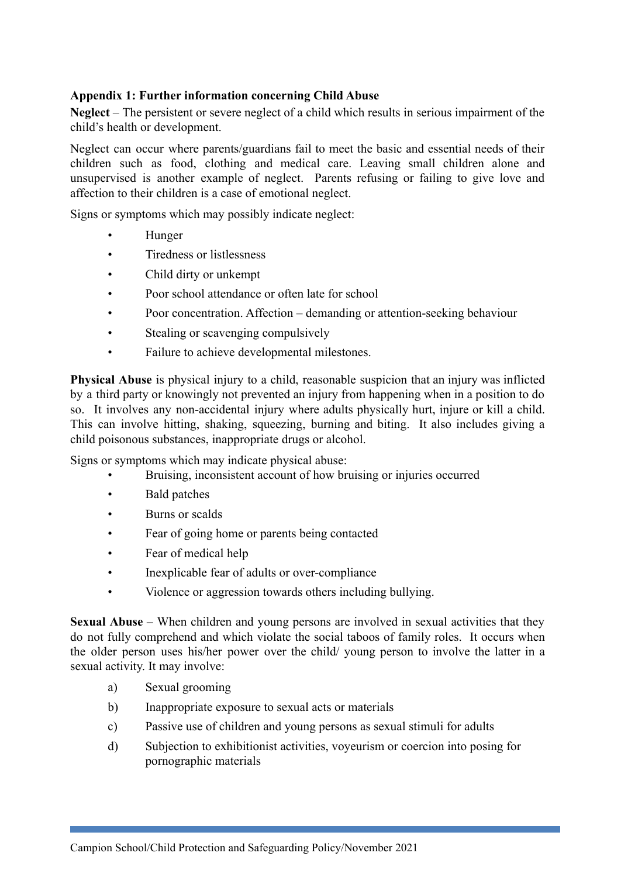## **Appendix 1: Further information concerning Child Abuse**

**Neglect** – The persistent or severe neglect of a child which results in serious impairment of the child's health or development.

Neglect can occur where parents/guardians fail to meet the basic and essential needs of their children such as food, clothing and medical care. Leaving small children alone and unsupervised is another example of neglect. Parents refusing or failing to give love and affection to their children is a case of emotional neglect.

Signs or symptoms which may possibly indicate neglect:

- Hunger
- Tiredness or listlessness
- Child dirty or unkempt
- Poor school attendance or often late for school
- Poor concentration. Affection demanding or attention-seeking behaviour
- Stealing or scavenging compulsively
- Failure to achieve developmental milestones.

**Physical Abuse** is physical injury to a child, reasonable suspicion that an injury was inflicted by a third party or knowingly not prevented an injury from happening when in a position to do so. It involves any non-accidental injury where adults physically hurt, injure or kill a child. This can involve hitting, shaking, squeezing, burning and biting. It also includes giving a child poisonous substances, inappropriate drugs or alcohol.

Signs or symptoms which may indicate physical abuse:

- Bruising, inconsistent account of how bruising or injuries occurred
- Bald patches
- Burns or scalds
- Fear of going home or parents being contacted
- Fear of medical help
- Inexplicable fear of adults or over-compliance
- Violence or aggression towards others including bullying.

**Sexual Abuse** – When children and young persons are involved in sexual activities that they do not fully comprehend and which violate the social taboos of family roles. It occurs when the older person uses his/her power over the child/ young person to involve the latter in a sexual activity. It may involve:

- a) Sexual grooming
- b) Inappropriate exposure to sexual acts or materials
- c) Passive use of children and young persons as sexual stimuli for adults
- d) Subjection to exhibitionist activities, voyeurism or coercion into posing for pornographic materials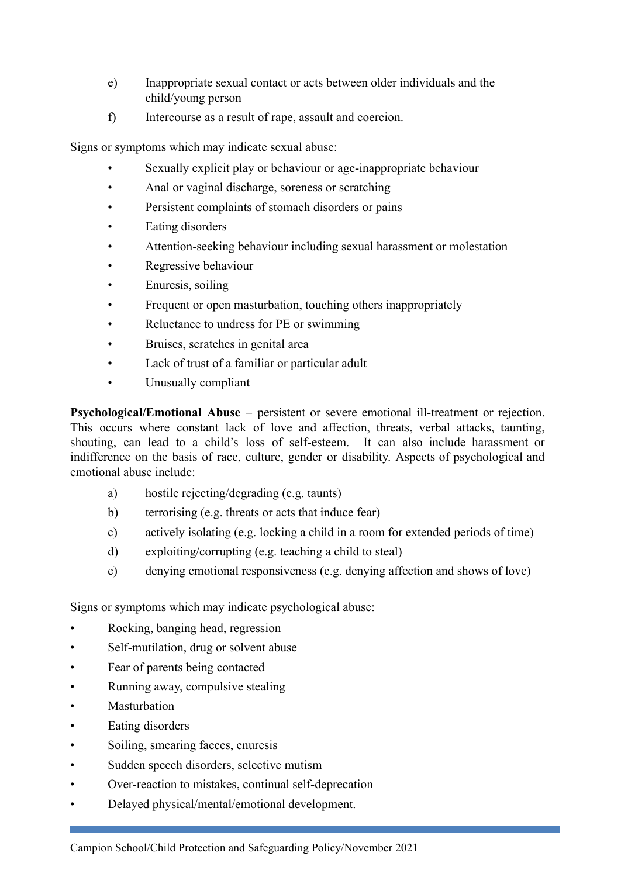- e) Inappropriate sexual contact or acts between older individuals and the child/young person
- f) Intercourse as a result of rape, assault and coercion.

Signs or symptoms which may indicate sexual abuse:

- Sexually explicit play or behaviour or age-inappropriate behaviour
- Anal or vaginal discharge, soreness or scratching
- Persistent complaints of stomach disorders or pains
- Eating disorders
- Attention-seeking behaviour including sexual harassment or molestation
- Regressive behaviour
- Enuresis, soiling
- Frequent or open masturbation, touching others inappropriately
- Reluctance to undress for PE or swimming
- Bruises, scratches in genital area
- Lack of trust of a familiar or particular adult
- Unusually compliant

**Psychological/Emotional Abuse** – persistent or severe emotional ill-treatment or rejection. This occurs where constant lack of love and affection, threats, verbal attacks, taunting, shouting, can lead to a child's loss of self-esteem. It can also include harassment or indifference on the basis of race, culture, gender or disability. Aspects of psychological and emotional abuse include:

- a) hostile rejecting/degrading (e.g. taunts)
- b) terrorising (e.g. threats or acts that induce fear)
- c) actively isolating (e.g. locking a child in a room for extended periods of time)
- d) exploiting/corrupting (e.g. teaching a child to steal)
- e) denying emotional responsiveness (e.g. denying affection and shows of love)

Signs or symptoms which may indicate psychological abuse:

- Rocking, banging head, regression
- Self-mutilation, drug or solvent abuse
- Fear of parents being contacted
- Running away, compulsive stealing
- **Masturbation**
- Eating disorders
- Soiling, smearing faeces, enuresis
- Sudden speech disorders, selective mutism
- Over-reaction to mistakes, continual self-deprecation
- Delayed physical/mental/emotional development.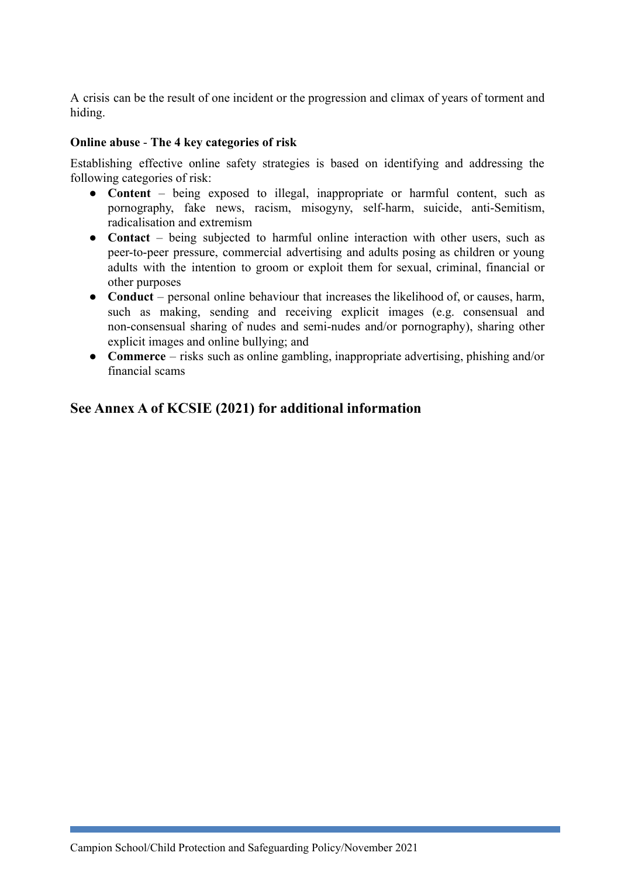A crisis can be the result of one incident or the progression and climax of years of torment and hiding.

#### **Online abuse** - **The 4 key categories of risk**

Establishing effective online safety strategies is based on identifying and addressing the following categories of risk:

- **Content** being exposed to illegal, inappropriate or harmful content, such as pornography, fake news, racism, misogyny, self-harm, suicide, anti-Semitism, radicalisation and extremism
- **Contact** being subjected to harmful online interaction with other users, such as peer-to-peer pressure, commercial advertising and adults posing as children or young adults with the intention to groom or exploit them for sexual, criminal, financial or other purposes
- **Conduct** personal online behaviour that increases the likelihood of, or causes, harm, such as making, sending and receiving explicit images (e.g. consensual and non-consensual sharing of nudes and semi-nudes and/or pornography), sharing other explicit images and online bullying; and
- **Commerce** risks such as online gambling, inappropriate advertising, phishing and/or financial scams

## **See Annex A of KCSIE (2021) for additional information**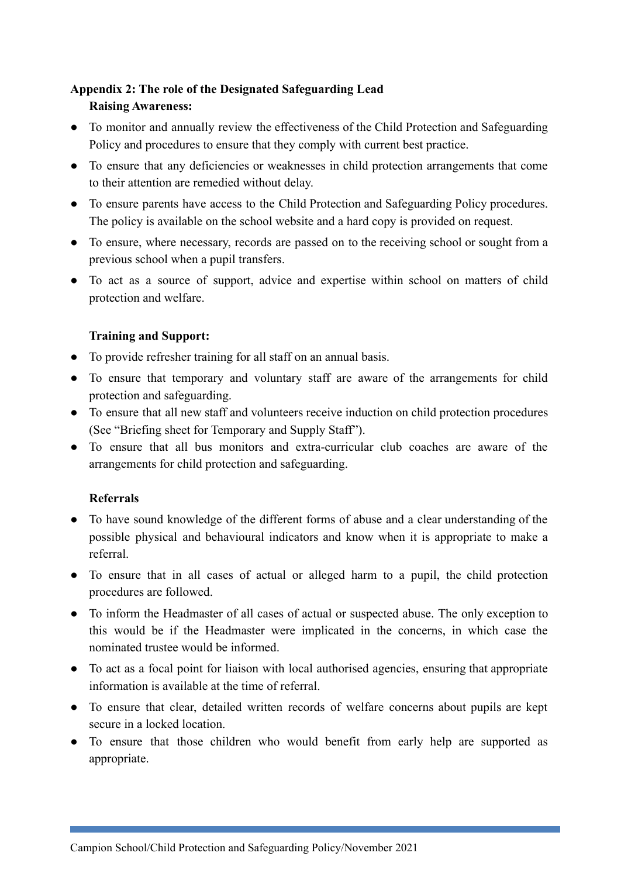## **Appendix 2: The role of the Designated Safeguarding Lead**

## **Raising Awareness:**

- To monitor and annually review the effectiveness of the Child Protection and Safeguarding Policy and procedures to ensure that they comply with current best practice.
- To ensure that any deficiencies or weaknesses in child protection arrangements that come to their attention are remedied without delay.
- To ensure parents have access to the Child Protection and Safeguarding Policy procedures. The policy is available on the school website and a hard copy is provided on request.
- To ensure, where necessary, records are passed on to the receiving school or sought from a previous school when a pupil transfers.
- To act as a source of support, advice and expertise within school on matters of child protection and welfare.

## **Training and Support:**

- To provide refresher training for all staff on an annual basis.
- To ensure that temporary and voluntary staff are aware of the arrangements for child protection and safeguarding.
- To ensure that all new staff and volunteers receive induction on child protection procedures (See "Briefing sheet for Temporary and Supply Staff").
- To ensure that all bus monitors and extra-curricular club coaches are aware of the arrangements for child protection and safeguarding.

#### **Referrals**

- To have sound knowledge of the different forms of abuse and a clear understanding of the possible physical and behavioural indicators and know when it is appropriate to make a referral.
- To ensure that in all cases of actual or alleged harm to a pupil, the child protection procedures are followed.
- To inform the Headmaster of all cases of actual or suspected abuse. The only exception to this would be if the Headmaster were implicated in the concerns, in which case the nominated trustee would be informed.
- To act as a focal point for liaison with local authorised agencies, ensuring that appropriate information is available at the time of referral.
- To ensure that clear, detailed written records of welfare concerns about pupils are kept secure in a locked location.
- To ensure that those children who would benefit from early help are supported as appropriate.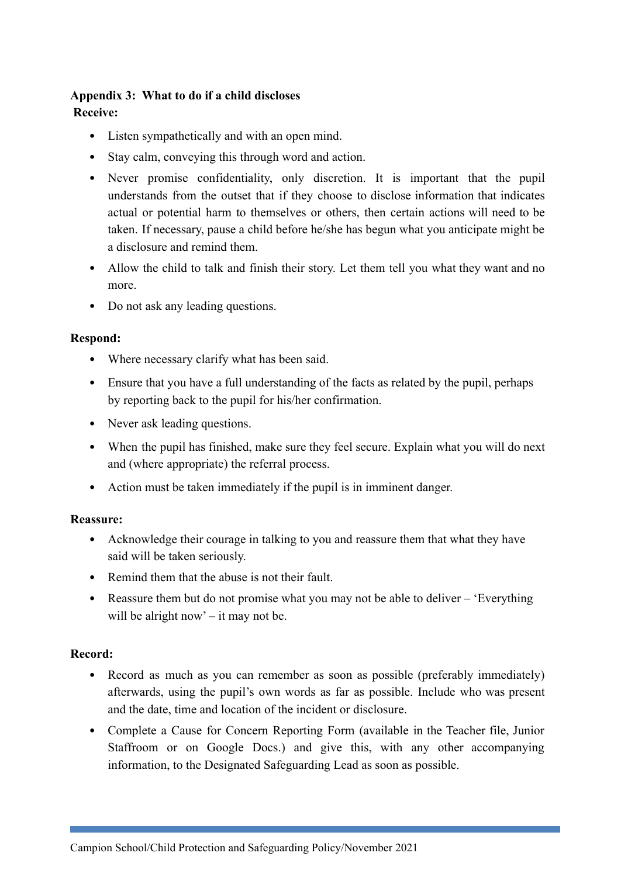#### **Appendix 3: What to do if a child discloses Receive:**

- Listen sympathetically and with an open mind.
- Stay calm, conveying this through word and action.
- Never promise confidentiality, only discretion. It is important that the pupil understands from the outset that if they choose to disclose information that indicates actual or potential harm to themselves or others, then certain actions will need to be taken. If necessary, pause a child before he/she has begun what you anticipate might be a disclosure and remind them.
- Allow the child to talk and finish their story. Let them tell you what they want and no more.
- Do not ask any leading questions.

#### **Respond:**

- Where necessary clarify what has been said.
- Ensure that you have a full understanding of the facts as related by the pupil, perhaps by reporting back to the pupil for his/her confirmation.
- Never ask leading questions.
- When the pupil has finished, make sure they feel secure. Explain what you will do next and (where appropriate) the referral process.
- Action must be taken immediately if the pupil is in imminent danger.

#### **Reassure:**

- Acknowledge their courage in talking to you and reassure them that what they have said will be taken seriously.
- Remind them that the abuse is not their fault.
- Reassure them but do not promise what you may not be able to deliver 'Everything' will be alright now' – it may not be.

#### **Record:**

- Record as much as you can remember as soon as possible (preferably immediately) afterwards, using the pupil's own words as far as possible. Include who was present and the date, time and location of the incident or disclosure.
- Complete a Cause for Concern Reporting Form (available in the Teacher file, Junior Staffroom or on Google Docs.) and give this, with any other accompanying information, to the Designated Safeguarding Lead as soon as possible.